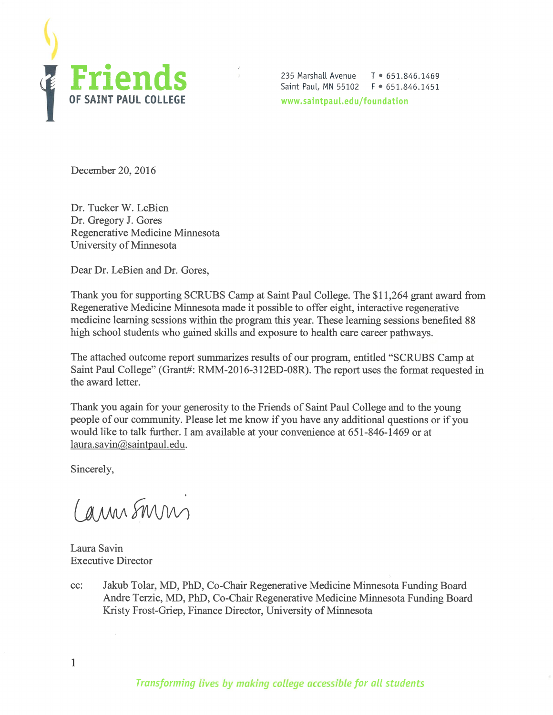

235 Marshall Avenue T • 651.846.1469 Saint Paul, MN 55102 F • 651.846.1451 [www.saintpaul.edu/foundation](http://www.saintpaul.edu/foundation)

December 20, 2016

Dr. Tucker W. LeBien Dr. Gregory J. Gores Regenerative Medicine Minnesota University of Minnesota

Dear Dr. LeBien and Dr. Gores,

Thank you for supporting SCRUBS Camp at Saint Paul College. The \$11,264 grant award from Regenerative Medicine Minnesota made it possible to offer eight, interactive regenerative medicine learning sessions within the program this year. These learning sessions benefited 88 high school students who gained skills and exposure to health care career pathways.

 $\lambda$ 

The attached outcome report summarizes results of our program, entitled "SCRUBS Camp at Saint Paul College" (Grant#: RMM-2016-312ED-08R). The report uses the format requested in the award letter.

Thank you again for your generosity to the Friends of Saint Paul College and to the young people of our community. Please let me know if you have any additional questions or if you would like to talk further. I am available at your convenience at 651-846-1469 or at [laura.savin@saintpaul.edu](mailto:laura.savin@saintpaul.edu).

Sincerely,

1

Cannsmin

Laura Savin Executive Director

cc: Jakub Tolar, MD, PhD, Co-Chair Regenerative Medicine Minnesota Funding Board Andre Terzic, MD, PhD, Co-Chair Regenerative Medicine Minnesota Funding Board Kristy Frost-Griep, Finance Director, University of Minnesota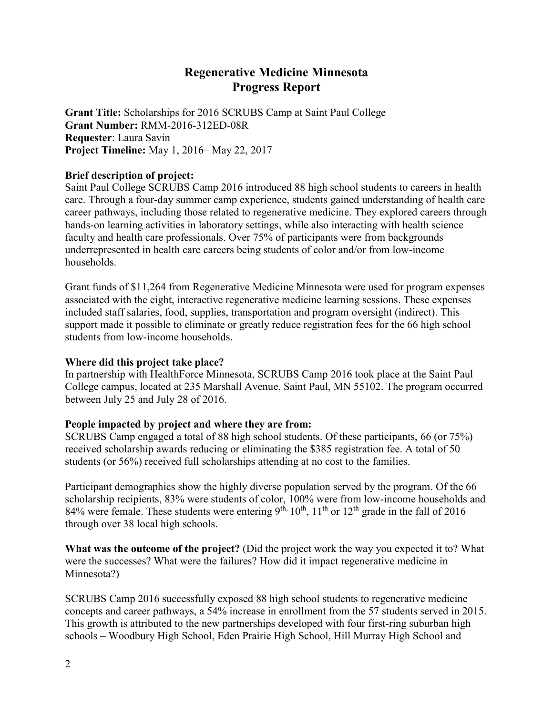# **Regenerative Medicine Minnesota Progress Report**

**Grant Title:** Scholarships for 2016 SCRUBS Camp at Saint Paul College **Grant Number:** RMM-2016-312ED-08R **Requester**: Laura Savin **Project Timeline:** May 1, 2016– May 22, 2017

### **Brief description of project:**

Saint Paul College SCRUBS Camp 2016 introduced 88 high school students to careers in health care. Through a four-day summer camp experience, students gained understanding of health care career pathways, including those related to regenerative medicine. They explored careers through hands-on learning activities in laboratory settings, while also interacting with health science faculty and health care professionals. Over 75% of participants were from backgrounds underrepresented in health care careers being students of color and/or from low-income households.

Grant funds of \$11,264 from Regenerative Medicine Minnesota were used for program expenses associated with the eight, interactive regenerative medicine learning sessions. These expenses included staff salaries, food, supplies, transportation and program oversight (indirect). This support made it possible to eliminate or greatly reduce registration fees for the 66 high school students from low-income households.

### **Where did this project take place?**

In partnership with HealthForce Minnesota, SCRUBS Camp 2016 took place at the Saint Paul College campus, located at 235 Marshall Avenue, Saint Paul, MN 55102. The program occurred between July 25 and July 28 of 2016.

## **People impacted by project and where they are from:**

SCRUBS Camp engaged a total of 88 high school students. Of these participants, 66 (or 75%) received scholarship awards reducing or eliminating the \$385 registration fee. A total of 50 students (or 56%) received full scholarships attending at no cost to the families.

Participant demographics show the highly diverse population served by the program. Of the 66 scholarship recipients, 83% were students of color, 100% were from low-income households and 84% were female. These students were entering 9<sup>th, 10<sup>th</sup>, 11<sup>th</sup> or 12<sup>th</sup> grade in the fall of 2016</sup> through over 38 local high schools.

**What was the outcome of the project?** (Did the project work the way you expected it to? What were the successes? What were the failures? How did it impact regenerative medicine in Minnesota?)

SCRUBS Camp 2016 successfully exposed 88 high school students to regenerative medicine concepts and career pathways, a 54% increase in enrollment from the 57 students served in 2015. This growth is attributed to the new partnerships developed with four first-ring suburban high schools – Woodbury High School, Eden Prairie High School, Hill Murray High School and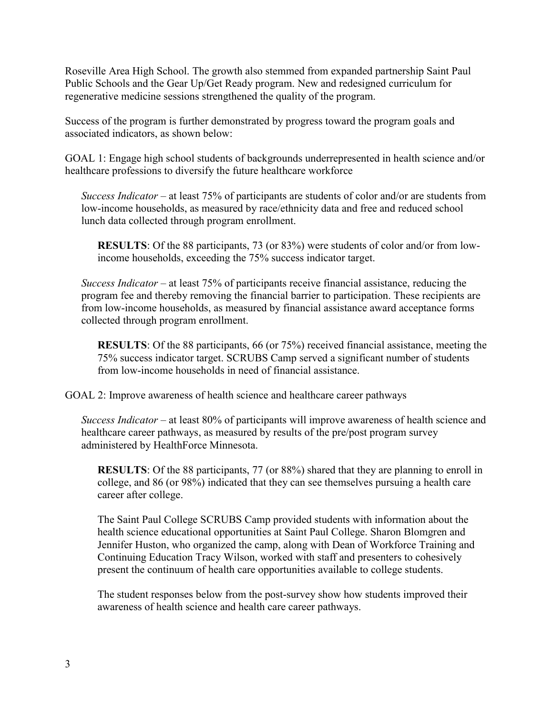Roseville Area High School. The growth also stemmed from expanded partnership Saint Paul Public Schools and the Gear Up/Get Ready program. New and redesigned curriculum for regenerative medicine sessions strengthened the quality of the program.

Success of the program is further demonstrated by progress toward the program goals and associated indicators, as shown below:

GOAL 1: Engage high school students of backgrounds underrepresented in health science and/or healthcare professions to diversify the future healthcare workforce

*Success Indicator* – at least 75% of participants are students of color and/or are students from low-income households, as measured by race/ethnicity data and free and reduced school lunch data collected through program enrollment.

**RESULTS**: Of the 88 participants, 73 (or 83%) were students of color and/or from lowincome households, exceeding the 75% success indicator target.

*Success Indicator* – at least 75% of participants receive financial assistance, reducing the program fee and thereby removing the financial barrier to participation. These recipients are from low-income households, as measured by financial assistance award acceptance forms collected through program enrollment.

**RESULTS**: Of the 88 participants, 66 (or 75%) received financial assistance, meeting the 75% success indicator target. SCRUBS Camp served a significant number of students from low-income households in need of financial assistance.

GOAL 2: Improve awareness of health science and healthcare career pathways

*Success Indicator* – at least 80% of participants will improve awareness of health science and healthcare career pathways, as measured by results of the pre/post program survey administered by HealthForce Minnesota.

**RESULTS**: Of the 88 participants, 77 (or 88%) shared that they are planning to enroll in college, and 86 (or 98%) indicated that they can see themselves pursuing a health care career after college.

The Saint Paul College SCRUBS Camp provided students with information about the health science educational opportunities at Saint Paul College. Sharon Blomgren and Jennifer Huston, who organized the camp, along with Dean of Workforce Training and Continuing Education Tracy Wilson, worked with staff and presenters to cohesively present the continuum of health care opportunities available to college students.

The student responses below from the post-survey show how students improved their awareness of health science and health care career pathways.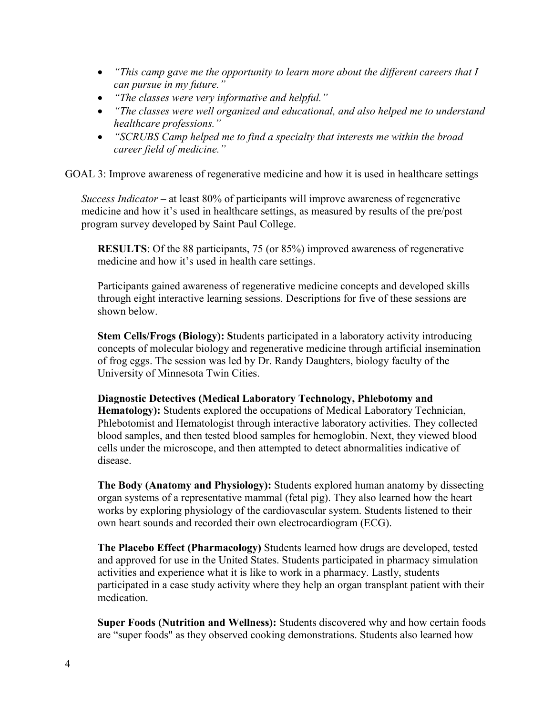- *"This camp gave me the opportunity to learn more about the different careers that I can pursue in my future."*
- *"The classes were very informative and helpful."*
- *"The classes were well organized and educational, and also helped me to understand healthcare professions."*
- *"SCRUBS Camp helped me to find a specialty that interests me within the broad career field of medicine."*

GOAL 3: Improve awareness of regenerative medicine and how it is used in healthcare settings

*Success Indicator* – at least 80% of participants will improve awareness of regenerative medicine and how it's used in healthcare settings, as measured by results of the pre/post program survey developed by Saint Paul College.

**RESULTS**: Of the 88 participants, 75 (or 85%) improved awareness of regenerative medicine and how it's used in health care settings.

Participants gained awareness of regenerative medicine concepts and developed skills through eight interactive learning sessions. Descriptions for five of these sessions are shown below.

**Stem Cells/Frogs (Biology): S**tudents participated in a laboratory activity introducing concepts of molecular biology and regenerative medicine through artificial insemination of frog eggs. The session was led by Dr. Randy Daughters, biology faculty of the University of Minnesota Twin Cities.

**Diagnostic Detectives (Medical Laboratory Technology, Phlebotomy and Hematology):** Students explored the occupations of Medical Laboratory Technician, Phlebotomist and Hematologist through interactive laboratory activities. They collected blood samples, and then tested blood samples for hemoglobin. Next, they viewed blood cells under the microscope, and then attempted to detect abnormalities indicative of disease.

**The Body (Anatomy and Physiology):** Students explored human anatomy by dissecting organ systems of a representative mammal (fetal pig). They also learned how the heart works by exploring physiology of the cardiovascular system. Students listened to their own heart sounds and recorded their own electrocardiogram (ECG).

**The Placebo Effect (Pharmacology)** Students learned how drugs are developed, tested and approved for use in the United States. Students participated in pharmacy simulation activities and experience what it is like to work in a pharmacy. Lastly, students participated in a case study activity where they help an organ transplant patient with their medication.

**Super Foods (Nutrition and Wellness):** Students discovered why and how certain foods are "super foods" as they observed cooking demonstrations. Students also learned how